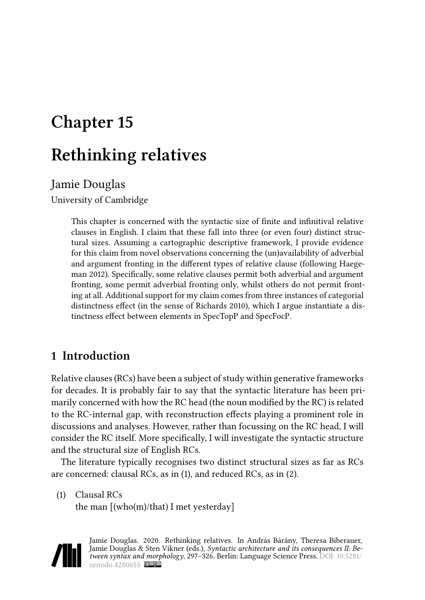# **Chapter 15**

# **Rethinking relatives**

# Jamie Douglas

University of Cambridge

This chapter is concerned with the syntactic size of finite and infinitival relative clauses in English. I claim that these fall into three (or even four) distinct structural sizes. Assuming a cartographic descriptive framework, I provide evidence for this claim from novel observations concerning the (un)availability of adverbial and argument fronting in the different types of relative clause (following [Haege](#page-28-0)[man 2012](#page-28-0)). Specifically, some relative clauses permit both adverbial and argument fronting, some permit adverbial fronting only, whilst others do not permit fronting at all. Additional support for my claim comes from three instances of categorial distinctness effect (in the sense of [Richards 2010](#page-29-0)), which I argue instantiate a distinctness effect between elements in SpecTopP and SpecFocP.

# <span id="page-0-1"></span>**1 Introduction**

Relative clauses (RCs) have been a subject of study within generative frameworks for decades. It is probably fair to say that the syntactic literature has been primarily concerned with how the RC head (the noun modified by the RC) is related to the RC-internal gap, with reconstruction effects playing a prominent role in discussions and analyses. However, rather than focussing on the RC head, I will consider the RC itself. More specifically, I will investigate the syntactic structure and the structural size of English RCs.

The literature typically recognises two distinct structural sizes as far as RCs are concerned: clausal RCs, as in([1\)](#page-0-0), and reduced RCs, as in [\(2](#page-1-0)).

<span id="page-0-0"></span>(1) Clausal RCs

the man [(who(m)/that) I met yesterday]



Jamie Douglas. 2020. Rethinking relatives. In András Bárány, Theresa Biberauer, Jamie Douglas & Sten Vikner (eds.), *Syntactic architecture and its consequences II: Between syntax and morphology*, 297–326. Berlin: Language Science Press. DOI: [10.5281/](https://doi.org/10.5281/zenodo.4280655) zenodo. $4280655$   $\odot$   $\odot$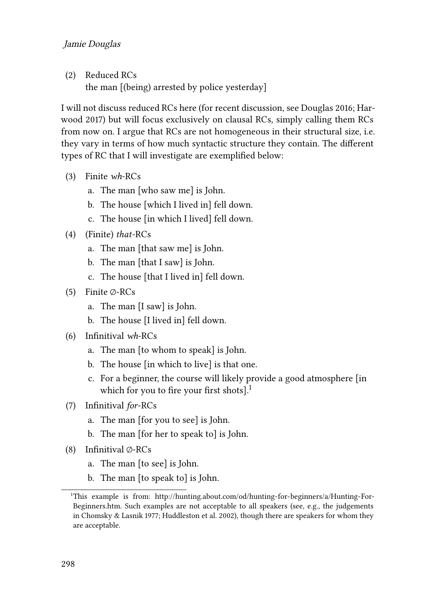#### Jamie Douglas

<span id="page-1-0"></span>(2) Reduced RCs the man [(being) arrested by police yesterday]

I will not discuss reduced RCs here (for recent discussion, see [Douglas 2016;](#page-28-1) [Har](#page-28-2)[wood 2017](#page-28-2)) but will focus exclusively on clausal RCs, simply calling them RCs from now on. I argue that RCs are not homogeneous in their structural size, i.e. they vary in terms of how much syntactic structure they contain. The different types of RC that I will investigate are exemplified below:

- (3) Finite *wh*-RCs
	- a. The man [who saw me] is John.
	- b. The house [which I lived in] fell down.
	- c. The house [in which I lived] fell down.
- (4) (Finite) *that*-RCs
	- a. The man [that saw me] is John.
	- b. The man [that I saw] is John.
	- c. The house [that I lived in] fell down.
- (5) Finite ∅-RCs
	- a. The man [I saw] is John.
	- b. The house [I lived in] fell down.
- <span id="page-1-1"></span>(6) Infinitival *wh*-RCs
	- a. The man [to whom to speak] is John.
	- b. The house [in which to live] is that one.
	- c. For a beginner, the course will likely provide a good atmosphere [in which for you to fire your first shots].<sup>1</sup>
- (7) Infinitival *for*-RCs
	- a. The man [for you to see] is John.
	- b. The man [for her to speak to] is John.
- (8) Infinitival ∅-RCs
	- a. The man [to see] is John.
	- b. The man [to speak to] is John.

<sup>1</sup>This example is from: [http://hunting.about.com/od/hunting-for-beginners/a/Hunting-For-](http://hunting.about.com/od/hunting-for-beginners/a/Hunting-For-Beginners.htm)[Beginners.htm](http://hunting.about.com/od/hunting-for-beginners/a/Hunting-For-Beginners.htm). Such examples are not acceptable to all speakers (see, e.g., the judgements in [Chomsky & Lasnik 1977;](#page-28-3) [Huddleston et al. 2002\)](#page-28-4), though there are speakers for whom they are acceptable.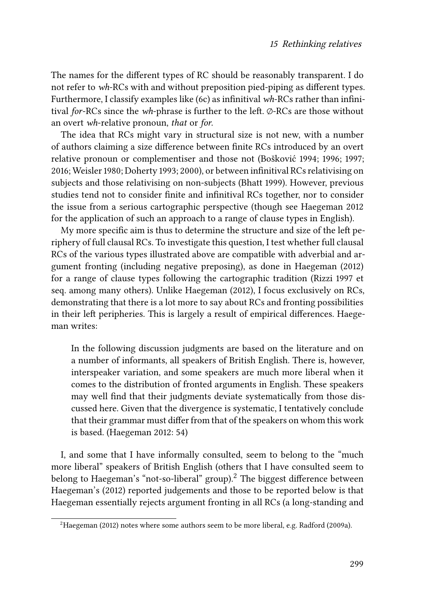The names for the different types of RC should be reasonably transparent. I do not refer to *wh*-RCs with and without preposition pied-piping as different types. Furthermore, I classify examples like [\(6](#page-1-1)c) as infinitival *wh*-RCs rather than infinitival *for*-RCs since the *wh*-phrase is further to the left. ∅-RCs are those without an overt *wh*-relative pronoun, *that* or *for*.

The idea that RCs might vary in structural size is not new, with a number of authors claiming a size difference between finite RCs introduced by an overt relative pronoun or complementiser and those not([Bošković 1994](#page-27-0); [1996](#page-27-1); [1997;](#page-27-2) [2016;](#page-27-3) [Weisler 1980](#page-29-1); [Doherty 1993;](#page-28-5) [2000\)](#page-28-6), or between infinitival RCs relativising on subjects and those relativising on non-subjects([Bhatt 1999](#page-27-4)). However, previous studies tend not to consider finite and infinitival RCs together, nor to consider the issue from a serious cartographic perspective (though see [Haegeman 2012](#page-28-0) for the application of such an approach to a range of clause types in English).

My more specific aim is thus to determine the structure and size of the left periphery of full clausal RCs. To investigate this question, I test whether full clausal RCs of the various types illustrated above are compatible with adverbial and argument fronting (including negative preposing), as done in [Haegeman \(2012\)](#page-28-0) for a range of clause types following the cartographic tradition([Rizzi 1997](#page-29-2) et seq. among many others). Unlike [Haegeman \(2012\)](#page-28-0), I focus exclusively on RCs, demonstrating that there is a lot more to say about RCs and fronting possibilities in their left peripheries. This is largely a result of empirical differences. Haegeman writes:

In the following discussion judgments are based on the literature and on a number of informants, all speakers of British English. There is, however, interspeaker variation, and some speakers are much more liberal when it comes to the distribution of fronted arguments in English. These speakers may well find that their judgments deviate systematically from those discussed here. Given that the divergence is systematic, I tentatively conclude that their grammar must differ from that of the speakers on whom this work is based. [\(Haegeman 2012](#page-28-0): 54)

I, and some that I have informally consulted, seem to belong to the "much more liberal" speakers of British English (others that I have consulted seem to belong to Haegeman's "not-so-liberal" group).<sup>2</sup> The biggest difference between [Haegeman'](#page-28-0)s (2012) reported judgements and those to be reported below is that Haegeman essentially rejects argument fronting in all RCs (a long-standing and

 ${}^{2}$ [Haegeman \(2012\)](#page-28-0) notes where some authors seem to be more liberal, e.g. [Radford \(2009a\).](#page-29-3)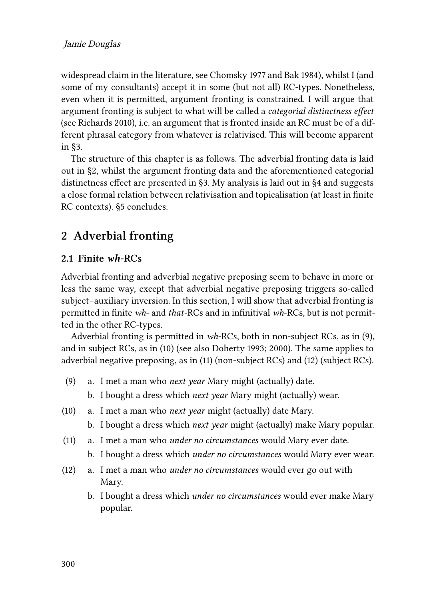widespread claim in the literature, see [Chomsky 1977](#page-28-7) and [Bak 1984](#page-27-5)), whilst I (and some of my consultants) accept it in some (but not all) RC-types. Nonetheless, even when it is permitted, argument fronting is constrained. I will argue that argument fronting is subject to what will be called a *categorial distinctness effect* (see [Richards 2010\)](#page-29-0), i.e. an argument that is fronted inside an RC must be of a different phrasal category from whatever is relativised. This will become apparent in [§3](#page-8-0).

The structure of this chapter is as follows. The adverbial fronting data is laid out in [§2](#page-3-0), whilst the argument fronting data and the aforementioned categorial distinctness effect are presented in §[3.](#page-8-0) My analysis is laid out in [§4](#page-14-0) and suggests a close formal relation between relativisation and topicalisation (at least in finite RC contexts). §[5](#page-25-0) concludes.

# <span id="page-3-0"></span>**2 Adverbial fronting**

#### **2.1 Finite** *wh***-RCs**

Adverbial fronting and adverbial negative preposing seem to behave in more or less the same way, except that adverbial negative preposing triggers so-called subject–auxiliary inversion. In this section, I will show that adverbial fronting is permitted in finite *wh*- and *that*-RCs and in infinitival *wh*-RCs, but is not permitted in the other RC-types.

Adverbial fronting is permitted in *wh*-RCs, both in non-subject RCs, as in [\(9](#page-3-1)), and in subject RCs, as in([10](#page-3-2)) (see also [Doherty 1993;](#page-28-5) [2000\)](#page-28-6). The same applies to adverbial negative preposing, as in([11\)](#page-3-3) (non-subject RCs) and [\(12](#page-3-4)) (subject RCs).

- <span id="page-3-1"></span>(9) a. I met a man who *next year* Mary might (actually) date.
	- b. I bought a dress which *next year* Mary might (actually) wear.
- <span id="page-3-2"></span>(10) a. I met a man who *next year* might (actually) date Mary.
	- b. I bought a dress which *next year* might (actually) make Mary popular.
- <span id="page-3-3"></span>(11) a. I met a man who *under no circumstances* would Mary ever date.
	- b. I bought a dress which *under no circumstances* would Mary ever wear.
- <span id="page-3-4"></span>(12) a. I met a man who *under no circumstances* would ever go out with Mary.
	- b. I bought a dress which *under no circumstances* would ever make Mary popular.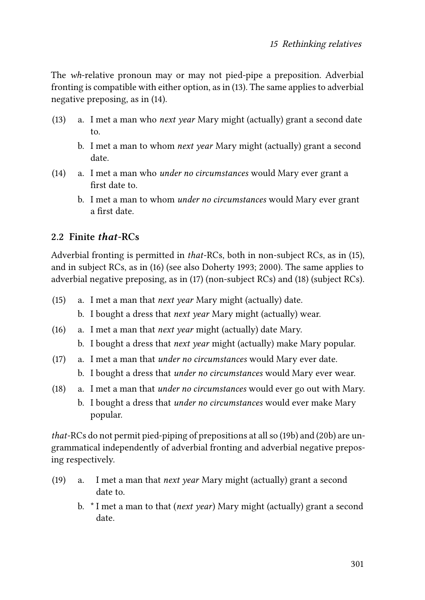The *wh*-relative pronoun may or may not pied-pipe a preposition. Adverbial fronting is compatible with either option, as in [\(13](#page-4-0)). The same applies to adverbial negative preposing, as in([14](#page-4-1)).

- <span id="page-4-0"></span>(13) a. I met a man who *next year* Mary might (actually) grant a second date to.
	- b. I met a man to whom *next year* Mary might (actually) grant a second date.
- <span id="page-4-1"></span>(14) a. I met a man who *under no circumstances* would Mary ever grant a first date to.
	- b. I met a man to whom *under no circumstances* would Mary ever grant a first date.

### **2.2 Finite** *that***-RCs**

Adverbial fronting is permitted in *that*-RCs, both in non-subject RCs, as in [\(15\)](#page-4-2), and in subject RCs, as in [\(16\)](#page-4-3) (see also [Doherty 1993](#page-28-5); [2000](#page-28-6)). The same applies to adverbial negative preposing, as in([17](#page-4-4)) (non-subject RCs) and([18\)](#page-4-5) (subject RCs).

- <span id="page-4-2"></span>(15) a. I met a man that *next year* Mary might (actually) date.
	- b. I bought a dress that *next year* Mary might (actually) wear.
- <span id="page-4-3"></span>(16) a. I met a man that *next year* might (actually) date Mary.
	- b. I bought a dress that *next year* might (actually) make Mary popular.
- <span id="page-4-4"></span>(17) a. I met a man that *under no circumstances* would Mary ever date. b. I bought a dress that *under no circumstances* would Mary ever wear.
- <span id="page-4-5"></span>(18) a. I met a man that *under no circumstances* would ever go out with Mary.
	- b. I bought a dress that *under no circumstances* would ever make Mary popular.

*that*-RCs do not permit pied-piping of prepositions at all so([19b](#page-4-6)) and([20](#page-5-0)b) are ungrammatical independently of adverbial fronting and adverbial negative preposing respectively.

- <span id="page-4-6"></span>(19) a. I met a man that *next year* Mary might (actually) grant a second date to.
	- b. \* I met a man to that (*next year*) Mary might (actually) grant a second date.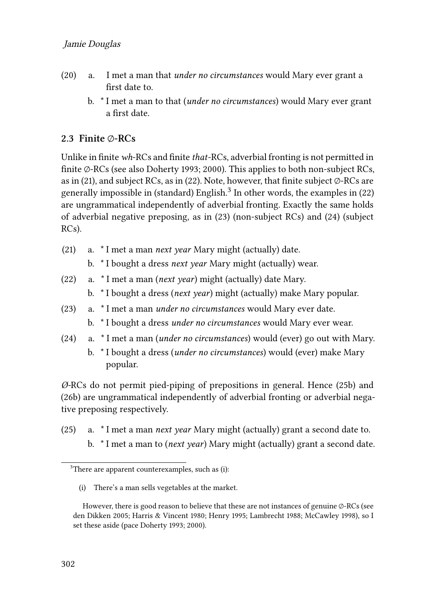- <span id="page-5-0"></span>(20) a. I met a man that *under no circumstances* would Mary ever grant a first date to.
	- b. \* I met a man to that (*under no circumstances*) would Mary ever grant a first date.

#### **2.3 Finite ∅-RCs**

Unlike in finite *wh*-RCs and finite *that*-RCs, adverbial fronting is not permitted in finite ∅-RCs (see also [Doherty 1993](#page-28-5); [2000](#page-28-6)). This applies to both non-subject RCs, as in [\(21](#page-5-1)), and subject RCs, as in [\(22\)](#page-5-2). Note, however, that finite subject  $\varnothing$ -RCs are generallyimpossible in (standard) English. $^3$  In other words, the examples in ([22](#page-5-2)) are ungrammatical independently of adverbial fronting. Exactly the same holds of adverbial negative preposing, as in [\(23\)](#page-5-3) (non-subject RCs) and([24](#page-5-4)) (subject RCs).

- <span id="page-5-1"></span>(21) a. \* I met a man *next year* Mary might (actually) date.
	- b. \* I bought a dress *next year* Mary might (actually) wear.
- <span id="page-5-2"></span>(22) a. \* I met a man (*next year*) might (actually) date Mary. b. \* I bought a dress (*next year*) might (actually) make Mary popular.
- <span id="page-5-3"></span>(23) a. \* I met a man *under no circumstances* would Mary ever date.
	- b. \* I bought a dress *under no circumstances* would Mary ever wear.
- <span id="page-5-4"></span>(24) a. \* I met a man (*under no circumstances*) would (ever) go out with Mary.
	- b. \* I bought a dress (*under no circumstances*) would (ever) make Mary popular.

*Ø-*RCs do not permit pied-piping of prepositions in general. Hence([25b](#page-5-5)) and [\(26b](#page-6-0)) are ungrammatical independently of adverbial fronting or adverbial negative preposing respectively.

<span id="page-5-5"></span>(25) a. \* I met a man *next year* Mary might (actually) grant a second date to. b. \* I met a man to (*next year*) Mary might (actually) grant a second date.

<sup>&</sup>lt;sup>3</sup>There are apparent counterexamples, such as (i):

<sup>(</sup>i) There's a man sells vegetables at the market.

However, there is good reason to believe that these are not instances of genuine ∅-RCs (see [den Dikken 2005](#page-28-8); [Harris & Vincent 1980](#page-28-9); [Henry 1995;](#page-28-10) [Lambrecht 1988](#page-29-4); [McCawley 1998](#page-29-5)), so I set these aside (pace [Doherty 1993;](#page-28-5) [2000\)](#page-28-6).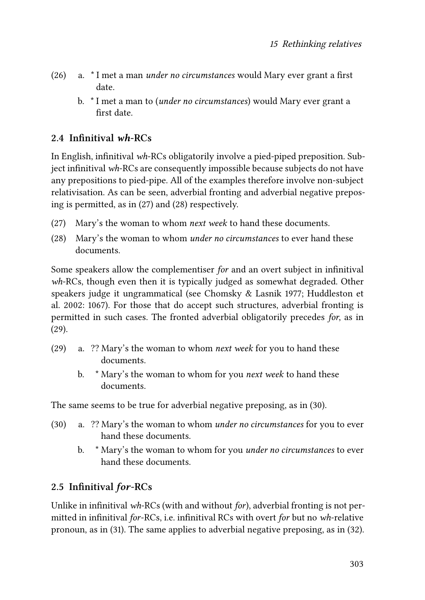- <span id="page-6-0"></span>(26) a. \* I met a man *under no circumstances* would Mary ever grant a first date.
	- b. \* I met a man to (*under no circumstances*) would Mary ever grant a first date.

### **2.4 Infinitival** *wh***-RCs**

In English, infinitival *wh*-RCs obligatorily involve a pied-piped preposition. Subject infinitival *wh*-RCs are consequently impossible because subjects do not have any prepositions to pied-pipe. All of the examples therefore involve non-subject relativisation. As can be seen, adverbial fronting and adverbial negative preposing is permitted, as in([27\)](#page-6-1) and [\(28](#page-6-2)) respectively.

- <span id="page-6-1"></span>(27) Mary's the woman to whom *next week* to hand these documents.
- <span id="page-6-2"></span>(28) Mary's the woman to whom *under no circumstances* to ever hand these documents.

Some speakers allow the complementiser *for* and an overt subject in infinitival *wh*-RCs, though even then it is typically judged as somewhat degraded. Other speakers judge it ungrammatical (see [Chomsky & Lasnik 1977](#page-28-3); [Huddleston et](#page-28-4) [al. 2002](#page-28-4): 1067). For those that do accept such structures, adverbial fronting is permitted in such cases. The fronted adverbial obligatorily precedes *for*, as in [\(29](#page-6-3)).

- <span id="page-6-3"></span>(29) a. ?? Mary's the woman to whom *next week* for you to hand these documents.
	- b. \* Mary's the woman to whom for you *next week* to hand these documents.

The same seems to be true for adverbial negative preposing, as in([30](#page-6-4)).

- <span id="page-6-4"></span>(30) a. ?? Mary's the woman to whom *under no circumstances* for you to ever hand these documents.
	- b. \* Mary's the woman to whom for you *under no circumstances* to ever hand these documents.

# **2.5 Infinitival** *for***-RCs**

Unlike in infinitival *wh*-RCs (with and without *for*), adverbial fronting is not permitted in infinitival *for*-RCs, i.e. infinitival RCs with overt *for* but no *wh*-relative pronoun, as in [\(31](#page-7-0)). The same applies to adverbial negative preposing, as in [\(32\)](#page-7-1).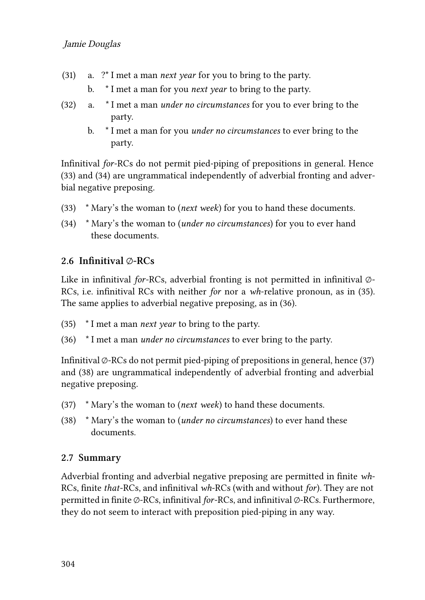- <span id="page-7-0"></span>(31) a. ?\* I met a man *next year* for you to bring to the party.
	- b. \* I met a man for you *next year* to bring to the party.
- <span id="page-7-1"></span>(32) a. \* I met a man *under no circumstances* for you to ever bring to the party.
	- b. \* I met a man for you *under no circumstances* to ever bring to the party.

Infinitival *for*-RCs do not permit pied-piping of prepositions in general. Hence [\(33\)](#page-7-2) and [\(34\)](#page-7-3) are ungrammatical independently of adverbial fronting and adverbial negative preposing.

- <span id="page-7-2"></span>(33) \* Mary's the woman to (*next week*) for you to hand these documents.
- <span id="page-7-3"></span>(34) \* Mary's the woman to (*under no circumstances*) for you to ever hand these documents.

#### **2.6 Infinitival ∅-RCs**

Like in infinitival *for*-RCs, adverbial fronting is not permitted in infinitival ∅- RCs, i.e. infinitival RCs with neither *for* nor a *wh*-relative pronoun, as in([35\)](#page-7-4). The same applies to adverbial negative preposing, as in([36](#page-7-5)).

- <span id="page-7-4"></span>(35) \* I met a man *next year* to bring to the party.
- <span id="page-7-5"></span>(36) \* I met a man *under no circumstances* to ever bring to the party.

Infinitival  $\varphi$ -RCs do not permit pied-piping of prepositions in general, hence [\(37](#page-7-6)) and([38\)](#page-7-7) are ungrammatical independently of adverbial fronting and adverbial negative preposing.

- <span id="page-7-6"></span>(37) \* Mary's the woman to (*next week*) to hand these documents.
- <span id="page-7-7"></span>(38) \* Mary's the woman to (*under no circumstances*) to ever hand these documents.

#### **2.7 Summary**

Adverbial fronting and adverbial negative preposing are permitted in finite *wh*-RCs, finite *that*-RCs, and infinitival *wh*-RCs (with and without *for*). They are not permitted in finite ∅-RCs, infinitival *for*-RCs, and infinitival ∅-RCs. Furthermore, they do not seem to interact with preposition pied-piping in any way.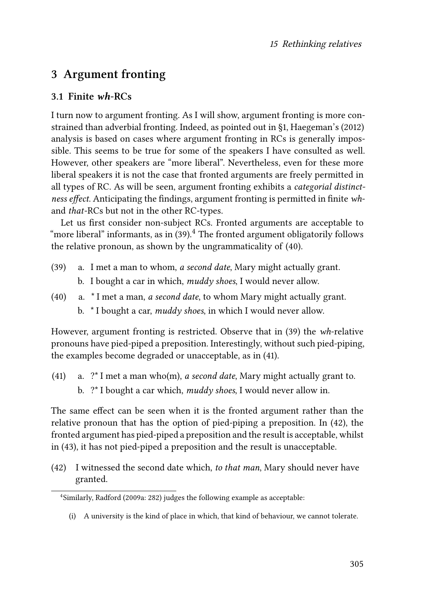# <span id="page-8-0"></span>**3 Argument fronting**

### **3.1 Finite** *wh***-RCs**

I turn now to argument fronting. As I will show, argument fronting is more constrained than adverbial fronting. Indeed, as pointed out in§[1,](#page-0-1) [Haegeman](#page-28-0)'s (2012) analysis is based on cases where argument fronting in RCs is generally impossible. This seems to be true for some of the speakers I have consulted as well. However, other speakers are "more liberal". Nevertheless, even for these more liberal speakers it is not the case that fronted arguments are freely permitted in all types of RC. As will be seen, argument fronting exhibits a *categorial distinctness effect*. Anticipating the findings, argument fronting is permitted in finite *wh*and *that*-RCs but not in the other RC-types.

Let us first consider non-subject RCs. Fronted arguments are acceptable to "moreliberal" informants, as in  $(39)$  $(39)$  $(39)$ .<sup>4</sup> The fronted argument obligatorily follows the relative pronoun, as shown by the ungrammaticality of [\(40\)](#page-8-2).

- <span id="page-8-1"></span>(39) a. I met a man to whom, *a second date*, Mary might actually grant. b. I bought a car in which, *muddy shoes*, I would never allow.
- <span id="page-8-2"></span>(40) a. \* I met a man, *a second date*, to whom Mary might actually grant. b. \* I bought a car, *muddy shoes*, in which I would never allow.

However, argument fronting is restricted. Observe that in [\(39](#page-8-1)) the *wh*-relative pronouns have pied-piped a preposition. Interestingly, without such pied-piping, the examples become degraded or unacceptable, as in([41](#page-8-3)).

<span id="page-8-3"></span>(41) a. ?\* I met a man who(m), *a second date*, Mary might actually grant to. b. ?\* I bought a car which, *muddy shoes*, I would never allow in.

The same effect can be seen when it is the fronted argument rather than the relative pronoun that has the option of pied-piping a preposition. In [\(42\)](#page-8-4), the fronted argument has pied-piped a preposition and the result is acceptable, whilst in([43](#page-9-0)), it has not pied-piped a preposition and the result is unacceptable.

<span id="page-8-4"></span>(42) I witnessed the second date which, *to that man*, Mary should never have granted.

<sup>4</sup> Similarly, [Radford \(2009a:](#page-29-3) 282) judges the following example as acceptable:

<sup>(</sup>i) A university is the kind of place in which, that kind of behaviour, we cannot tolerate.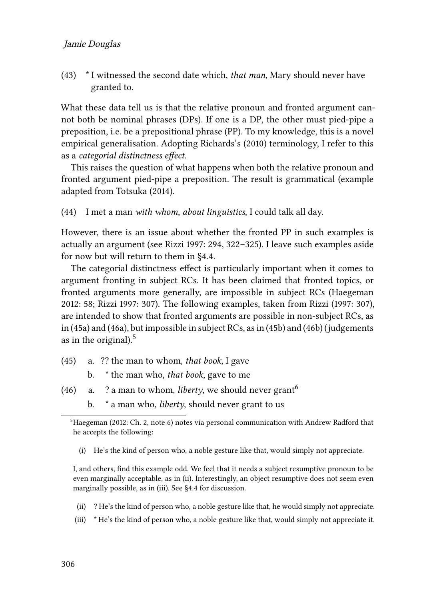#### Jamie Douglas

<span id="page-9-0"></span>(43) \* I witnessed the second date which, *that man*, Mary should never have granted to.

What these data tell us is that the relative pronoun and fronted argument cannot both be nominal phrases (DPs). If one is a DP, the other must pied-pipe a preposition, i.e. be a prepositional phrase (PP). To my knowledge, this is a novel empirical generalisation. Adopting [Richards'](#page-29-0)s (2010) terminology, I refer to this as a *categorial distinctness effect*.

This raises the question of what happens when both the relative pronoun and fronted argument pied-pipe a preposition. The result is grammatical (example adapted from [Totsuka \(2014\).](#page-29-6)

<span id="page-9-3"></span>(44) I met a man *with whom*, *about linguistics*, I could talk all day.

However, there is an issue about whether the fronted PP in such examples is actually an argument (see [Rizzi 1997](#page-29-2): 294, 322–325). I leave such examples aside for now but will return to them in [§4.4.](#page-19-0)

The categorial distinctness effect is particularly important when it comes to argument fronting in subject RCs. It has been claimed that fronted topics, or fronted arguments more generally, are impossible in subject RCs [\(Haegeman](#page-28-0) [2012](#page-28-0): 58; [Rizzi 1997:](#page-29-2) 307). The following examples, taken from [Rizzi \(1997](#page-29-2): 307), are intended to show that fronted arguments are possible in non-subject RCs, as in [\(45a](#page-9-1)) and [\(46a](#page-9-2)), but impossible in subject RCs, as in([45](#page-9-1)b) and [\(46b](#page-9-2)) (judgements as in the original). $<sup>5</sup>$ </sup>

- <span id="page-9-1"></span>(45) a. ?? the man to whom, *that book*, I gave
	- b. \* the man who, *that book*, gave to me
- <span id="page-9-2"></span>(46) a. ? a man to whom, *liberty*, we should never grant<sup>6</sup>
	- b. \* a man who, *liberty*, should never grant to us

(i) He's the kind of person who, a noble gesture like that, would simply not appreciate.

I, and others, find this example odd. We feel that it needs a subject resumptive pronoun to be even marginally acceptable, as in (ii). Interestingly, an object resumptive does not seem even marginally possible, as in (iii). See §[4.4](#page-19-0) for discussion.

- (ii) ? He's the kind of person who, a noble gesture like that, he would simply not appreciate.
- (iii) \* He's the kind of person who, a noble gesture like that, would simply not appreciate it.

<sup>5</sup>[Haegeman \(2012](#page-28-0): Ch. 2, note 6) notes via personal communication with Andrew Radford that he accepts the following: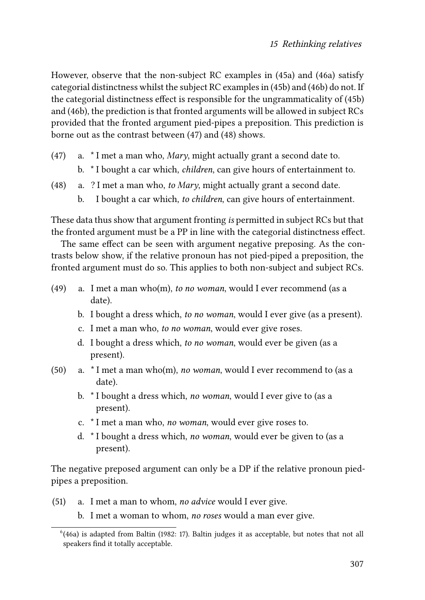However, observe that the non-subject RC examples in([45](#page-9-1)a) and [\(46a](#page-9-2)) satisfy categorial distinctness whilst the subject RC examples in [\(45](#page-9-1)b) and([46](#page-9-2)b) do not. If the categorial distinctness effect is responsible for the ungrammaticality of [\(45](#page-9-1)b) and([46](#page-9-2)b), the prediction is that fronted arguments will be allowed in subject RCs provided that the fronted argument pied-pipes a preposition. This prediction is borne out as the contrast between([47\)](#page-10-0) and [\(48](#page-10-1)) shows.

- <span id="page-10-0"></span>(47) a. \* I met a man who, *Mary*, might actually grant a second date to. b. \* I bought a car which, *children*, can give hours of entertainment to.
- <span id="page-10-1"></span>(48) a. ? I met a man who, *to Mary*, might actually grant a second date.
	- b. I bought a car which, *to children*, can give hours of entertainment.

These data thus show that argument fronting *is* permitted in subject RCs but that the fronted argument must be a PP in line with the categorial distinctness effect.

The same effect can be seen with argument negative preposing. As the contrasts below show, if the relative pronoun has not pied-piped a preposition, the fronted argument must do so. This applies to both non-subject and subject RCs.

- (49) a. I met a man who(m), *to no woman*, would I ever recommend (as a date).
	- b. I bought a dress which, *to no woman*, would I ever give (as a present).
	- c. I met a man who, *to no woman*, would ever give roses.
	- d. I bought a dress which, *to no woman*, would ever be given (as a present).
- (50) a. \* I met a man who(m), *no woman*, would I ever recommend to (as a date).
	- b. \* I bought a dress which, *no woman*, would I ever give to (as a present).
	- c. \* I met a man who, *no woman*, would ever give roses to.
	- d. \* I bought a dress which, *no woman*, would ever be given to (as a present).

The negative preposed argument can only be a DP if the relative pronoun piedpipes a preposition.

- (51) a. I met a man to whom, *no advice* would I ever give.
	- b. I met a woman to whom, *no roses* would a man ever give.

 $<sup>6</sup>(46a)$  $<sup>6</sup>(46a)$  $<sup>6</sup>(46a)$  is adapted from [Baltin \(1982](#page-27-6): 17). Baltin judges it as acceptable, but notes that not all</sup> speakers find it totally acceptable.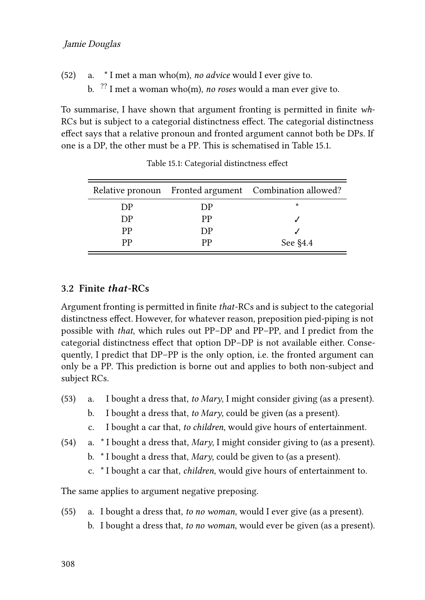#### Jamie Douglas

- (52) a. \* I met a man who(m), *no advice* would I ever give to.
	- b. ?? I met a woman who(m), *no roses* would a man ever give to.

To summarise, I have shown that argument fronting is permitted in finite *wh*-RCs but is subject to a categorial distinctness effect. The categorial distinctness effect says that a relative pronoun and fronted argument cannot both be DPs. If one is a DP, the other must be a PP. This is schematised in Table [15.1](#page-11-0).

<span id="page-11-0"></span>

|    |    | Relative pronoun Fronted argument Combination allowed? |
|----|----|--------------------------------------------------------|
| DP | DP | $\star$                                                |
| DP | РP |                                                        |
| PP | DP |                                                        |
| рp | рp | See $\S4.4$                                            |

Table 15.1: Categorial distinctness effect

#### **3.2 Finite** *that***-RCs**

Argument fronting is permitted in finite *that*-RCs and is subject to the categorial distinctness effect. However, for whatever reason, preposition pied-piping is not possible with *that*, which rules out PP–DP and PP–PP, and I predict from the categorial distinctness effect that option DP–DP is not available either. Consequently, I predict that DP–PP is the only option, i.e. the fronted argument can only be a PP. This prediction is borne out and applies to both non-subject and subject RCs.

- <span id="page-11-1"></span>(53) a. I bought a dress that, *to Mary*, I might consider giving (as a present).
	- b. I bought a dress that, *to Mary*, could be given (as a present).
	- c. I bought a car that, *to children*, would give hours of entertainment.
- <span id="page-11-2"></span>(54) a. \* I bought a dress that, *Mary*, I might consider giving to (as a present).
	- b. \* I bought a dress that, *Mary*, could be given to (as a present).
	- c. \* I bought a car that, *children*, would give hours of entertainment to.

The same applies to argument negative preposing.

(55) a. I bought a dress that, *to no woman*, would I ever give (as a present). b. I bought a dress that, *to no woman*, would ever be given (as a present).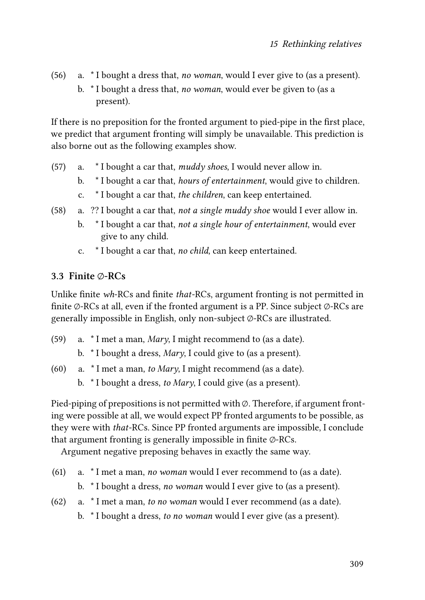- (56) a. \* I bought a dress that, *no woman*, would I ever give to (as a present).
	- b. \* I bought a dress that, *no woman*, would ever be given to (as a present).

If there is no preposition for the fronted argument to pied-pipe in the first place, we predict that argument fronting will simply be unavailable. This prediction is also borne out as the following examples show.

- (57) a. \* I bought a car that, *muddy shoes*, I would never allow in.
	- b. \* I bought a car that, *hours of entertainment*, would give to children.
	- c. \* I bought a car that, *the children*, can keep entertained.
- (58) a. ?? I bought a car that, *not a single muddy shoe* would I ever allow in.
	- b. \* I bought a car that, *not a single hour of entertainment*, would ever give to any child.
	- c. \* I bought a car that, *no child*, can keep entertained.

#### **3.3 Finite ∅-RCs**

Unlike finite *wh*-RCs and finite *that*-RCs, argument fronting is not permitted in finite ∅-RCs at all, even if the fronted argument is a PP. Since subject ∅-RCs are generally impossible in English, only non-subject ∅-RCs are illustrated.

- (59) a. \* I met a man, *Mary*, I might recommend to (as a date).
	- b. \* I bought a dress, *Mary*, I could give to (as a present).
- (60) a. \* I met a man, *to Mary*, I might recommend (as a date).
	- b. \* I bought a dress, *to Mary*, I could give (as a present).

Pied-piping of prepositions is not permitted with ∅. Therefore, if argument fronting were possible at all, we would expect PP fronted arguments to be possible, as they were with *that*-RCs. Since PP fronted arguments are impossible, I conclude that argument fronting is generally impossible in finite ∅-RCs.

Argument negative preposing behaves in exactly the same way.

- (61) a. \* I met a man, *no woman* would I ever recommend to (as a date).
	- b. \* I bought a dress, *no woman* would I ever give to (as a present).
- (62) a. \* I met a man, *to no woman* would I ever recommend (as a date). b. \* I bought a dress, *to no woman* would I ever give (as a present).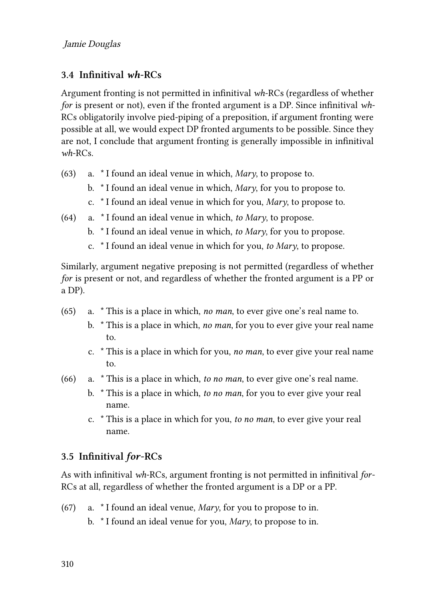### **3.4 Infinitival** *wh***-RCs**

Argument fronting is not permitted in infinitival *wh*-RCs (regardless of whether *for* is present or not), even if the fronted argument is a DP. Since infinitival *wh*-RCs obligatorily involve pied-piping of a preposition, if argument fronting were possible at all, we would expect DP fronted arguments to be possible. Since they are not, I conclude that argument fronting is generally impossible in infinitival *wh*-RCs.

- (63) a. \* I found an ideal venue in which, *Mary*, to propose to.
	- b. \* I found an ideal venue in which, *Mary*, for you to propose to.
	- c. \* I found an ideal venue in which for you, *Mary*, to propose to.
- (64) a. \* I found an ideal venue in which, *to Mary*, to propose.
	- b. \* I found an ideal venue in which, *to Mary*, for you to propose.
	- c. \* I found an ideal venue in which for you, *to Mary*, to propose.

Similarly, argument negative preposing is not permitted (regardless of whether *for* is present or not, and regardless of whether the fronted argument is a PP or a DP).

- (65) a. \* This is a place in which, *no man*, to ever give one's real name to.
	- b. \* This is a place in which, *no man*, for you to ever give your real name to.
	- c. \* This is a place in which for you, *no man*, to ever give your real name to.
- (66) a. \* This is a place in which, *to no man*, to ever give one's real name.
	- b. \* This is a place in which, *to no man*, for you to ever give your real name.
	- c. \* This is a place in which for you, *to no man*, to ever give your real name.

### **3.5 Infinitival** *for***-RCs**

As with infinitival *wh*-RCs, argument fronting is not permitted in infinitival *for*-RCs at all, regardless of whether the fronted argument is a DP or a PP.

- (67) a. \* I found an ideal venue, *Mary*, for you to propose to in.
	- b. \* I found an ideal venue for you, *Mary*, to propose to in.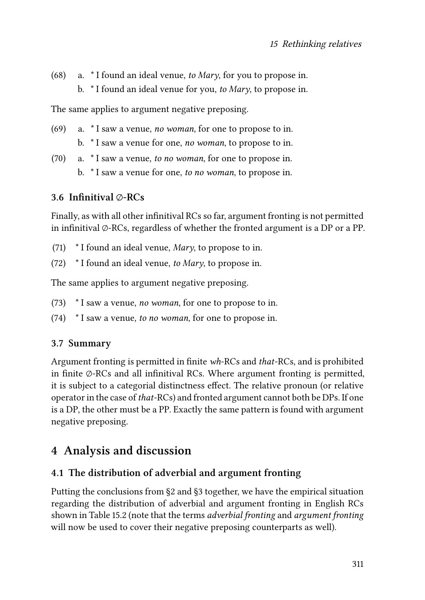- (68) a. \* I found an ideal venue, *to Mary*, for you to propose in.
	- b. \* I found an ideal venue for you, *to Mary*, to propose in.

The same applies to argument negative preposing.

- (69) a. \* I saw a venue, *no woman*, for one to propose to in. b. \* I saw a venue for one, *no woman*, to propose to in.
- (70) a. \* I saw a venue, *to no woman*, for one to propose in. b. \* I saw a venue for one, *to no woman*, to propose in.

## **3.6 Infinitival ∅-RCs**

Finally, as with all other infinitival RCs so far, argument fronting is not permitted in infinitival ∅-RCs, regardless of whether the fronted argument is a DP or a PP.

- (71) \* I found an ideal venue, *Mary*, to propose to in.
- (72) \* I found an ideal venue, *to Mary*, to propose in.

The same applies to argument negative preposing.

- (73) \* I saw a venue, *no woman*, for one to propose to in.
- (74) \* I saw a venue, *to no woman*, for one to propose in.

### **3.7 Summary**

Argument fronting is permitted in finite *wh*-RCs and *that*-RCs, and is prohibited in finite ∅-RCs and all infinitival RCs. Where argument fronting is permitted, it is subject to a categorial distinctness effect. The relative pronoun (or relative operator in the case of *that*-RCs) and fronted argument cannot both be DPs. If one is a DP, the other must be a PP. Exactly the same pattern is found with argument negative preposing.

# <span id="page-14-0"></span>**4 Analysis and discussion**

### **4.1 The distribution of adverbial and argument fronting**

Putting the conclusions from [§2](#page-3-0) and§[3](#page-8-0) together, we have the empirical situation regarding the distribution of adverbial and argument fronting in English RCs shown in Table [15.2](#page-15-0) (note that the terms *adverbial fronting* and *argument fronting* will now be used to cover their negative preposing counterparts as well).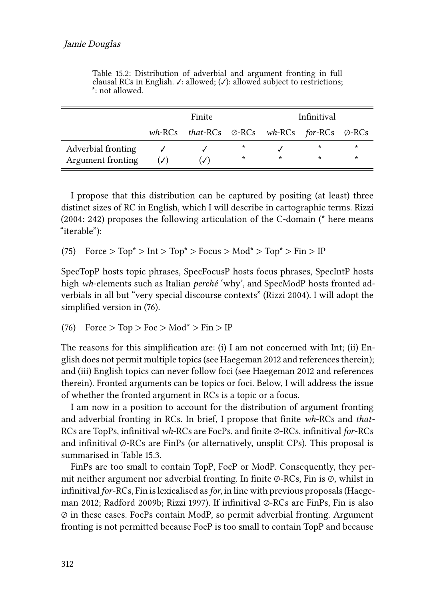<span id="page-15-0"></span>

|                    | Finite       |                                                                      |         |         | Infinitival |         |
|--------------------|--------------|----------------------------------------------------------------------|---------|---------|-------------|---------|
|                    |              | wh-RCs that-RCs $\varnothing$ -RCs wh-RCs for-RCs $\varnothing$ -RCs |         |         |             |         |
| Adverbial fronting |              |                                                                      | $\star$ |         | $\star$     | $\star$ |
| Argument fronting  | $(\sqrt{2})$ | (ノ)                                                                  | $\star$ | $\star$ |             | $\star$ |

Table 15.2: Distribution of adverbial and argument fronting in full clausal RCs in English.  $\checkmark$ : allowed;  $(\checkmark)$ : allowed subject to restrictions; \*: not allowed.

I propose that this distribution can be captured by positing (at least) three distinct sizes of RC in English, which I will describe in cartographic terms. [Rizzi](#page-29-7) [\(2004:](#page-29-7) 242) proposes the following articulation of the C-domain (\* here means "iterable"):

(75)  $Force > Top^* > Int > Top^* > Focus > Mod^* > Top^* > Fin > IP$ 

SpecTopP hosts topic phrases, SpecFocusP hosts focus phrases, SpecIntP hosts high *wh*-elements such as Italian *perché* 'why', and SpecModP hosts fronted adverbials in all but "very special discourse contexts"([Rizzi 2004](#page-29-7)). I will adopt the simplified version in([76](#page-15-1)).

<span id="page-15-1"></span>(76) Force 
$$
>
$$
 Top  $>$  Foc  $>$  Mod<sup>\*</sup>  $>$  Fin  $>$  IP

The reasons for this simplification are: (i) I am not concerned with Int; (ii) English does not permit multiple topics (see [Haegeman 2012](#page-28-0) and references therein); and (iii) English topics can never follow foci (see [Haegeman 2012](#page-28-0) and references therein). Fronted arguments can be topics or foci. Below, I will address the issue of whether the fronted argument in RCs is a topic or a focus.

I am now in a position to account for the distribution of argument fronting and adverbial fronting in RCs. In brief, I propose that finite *wh*-RCs and *that*-RCs are TopPs, infinitival *wh*-RCs are FocPs, and finite ∅-RCs, infinitival *for*-RCs and infinitival  $\varphi$ -RCs are FinPs (or alternatively, unsplit CPs). This proposal is summarised in Table [15.3.](#page-16-0)

FinPs are too small to contain TopP, FocP or ModP. Consequently, they permit neither argument nor adverbial fronting. In finite ∅-RCs, Fin is ∅, whilst in infinitival *for*-RCs, Fin is lexicalised as*for*, in line with previous proposals([Haege](#page-28-0)[man 2012](#page-28-0); [Radford 2009b](#page-29-8); [Rizzi 1997](#page-29-2)). If infinitival ∅-RCs are FinPs, Fin is also ∅ in these cases. FocPs contain ModP, so permit adverbial fronting. Argument fronting is not permitted because FocP is too small to contain TopP and because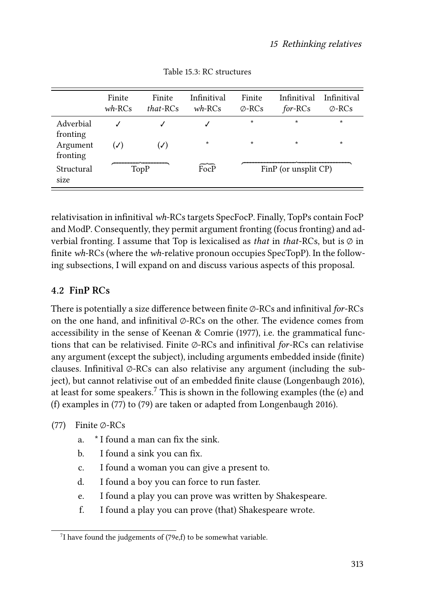<span id="page-16-0"></span>

|                                            | Finite<br>$wh$ -RCs | Finite<br>that-RCs     | Infinitival<br>$wh$ -RCs | Finite<br>$\oslash$ -RCs | Infinitival<br>for-RCs | Infinitival<br>$\oslash$ -RCs |
|--------------------------------------------|---------------------|------------------------|--------------------------|--------------------------|------------------------|-------------------------------|
| Adverbial<br>fronting                      |                     | J                      | $\ast$                   | $\star$<br>$\star$       | $\star$<br>$\star$     | $\star$<br>$\star$            |
| Argument<br>fronting<br>Structural<br>size | $(\checkmark)$      | $(\checkmark)$<br>TopP | FocP                     |                          | FinP (or unsplit CP)   |                               |

Table 15.3: RC structures

relativisation in infinitival *wh*-RCs targets SpecFocP. Finally, TopPs contain FocP and ModP. Consequently, they permit argument fronting (focus fronting) and adverbial fronting. I assume that Top is lexicalised as *that* in *that*-RCs, but is ∅ in finite *wh*-RCs (where the *wh*-relative pronoun occupies SpecTopP). In the following subsections, I will expand on and discuss various aspects of this proposal.

#### **4.2 FinP RCs**

There is potentially a size difference between finite ∅-RCs and infinitival *for*-RCs on the one hand, and infinitival ∅-RCs on the other. The evidence comes from accessibility in the sense of [Keenan & Comrie \(1977\)](#page-29-9), i.e. the grammatical functions that can be relativised. Finite ∅-RCs and infinitival *for*-RCs can relativise any argument (except the subject), including arguments embedded inside (finite) clauses. Infinitival ∅-RCs can also relativise any argument (including the subject), but cannot relativise out of an embedded finite clause([Longenbaugh 2016\)](#page-29-10), at least for some speakers.<sup>7</sup> This is shown in the following examples (the  $(e)$ ) and (f) examples in([77](#page-16-1)) to [\(79\)](#page-17-0) are taken or adapted from [Longenbaugh 2016\)](#page-29-10).

- <span id="page-16-1"></span>(77) Finite ∅-RCs
	- a. \* I found a man can fix the sink.
	- b. I found a sink you can fix.
	- c. I found a woman you can give a present to.
	- d. I found a boy you can force to run faster.
	- e. I found a play you can prove was written by Shakespeare.
	- f. I found a play you can prove (that) Shakespeare wrote.

 $7$ Ihave found the judgements of ([79e](#page-17-0),f) to be somewhat variable.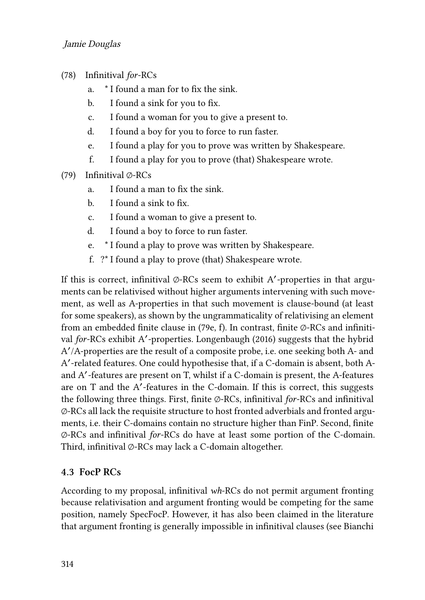- (78) Infinitival *for*-RCs
	- a. \* I found a man for to fix the sink.
	- b. I found a sink for you to fix.
	- c. I found a woman for you to give a present to.
	- d. I found a boy for you to force to run faster.
	- e. I found a play for you to prove was written by Shakespeare.
	- f. I found a play for you to prove (that) Shakespeare wrote.
- <span id="page-17-0"></span>(79) Infinitival ∅-RCs
	- a. I found a man to fix the sink.
	- b. I found a sink to fix.
	- c. I found a woman to give a present to.
	- d. I found a boy to force to run faster.
	- e. \* I found a play to prove was written by Shakespeare.
	- f. ?\* I found a play to prove (that) Shakespeare wrote.

If this is correct, infinitival ∅-RCs seem to exhibit A′ -properties in that arguments can be relativised without higher arguments intervening with such movement, as well as A-properties in that such movement is clause-bound (at least for some speakers), as shown by the ungrammaticality of relativising an element from an embedded finite clause in [\(79](#page-17-0)e, f). In contrast, finite ∅-RCs and infinitival *for*-RCs exhibit A'-properties. [Longenbaugh \(2016\)](#page-29-10) suggests that the hybrid A ′ /A-properties are the result of a composite probe, i.e. one seeking both A- and A ′ -related features. One could hypothesise that, if a C-domain is absent, both Aand A′ -features are present on T, whilst if a C-domain is present, the A-features are on T and the A′ -features in the C-domain. If this is correct, this suggests the following three things. First, finite ∅-RCs, infinitival *for*-RCs and infinitival ∅-RCs all lack the requisite structure to host fronted adverbials and fronted arguments, i.e. their C-domains contain no structure higher than FinP. Second, finite ∅-RCs and infinitival *for*-RCs do have at least some portion of the C-domain. Third, infinitival ∅-RCs may lack a C-domain altogether.

#### **4.3 FocP RCs**

According to my proposal, infinitival *wh*-RCs do not permit argument fronting because relativisation and argument fronting would be competing for the same position, namely SpecFocP. However, it has also been claimed in the literature that argument fronting is generally impossible in infinitival clauses (see [Bianchi](#page-27-7)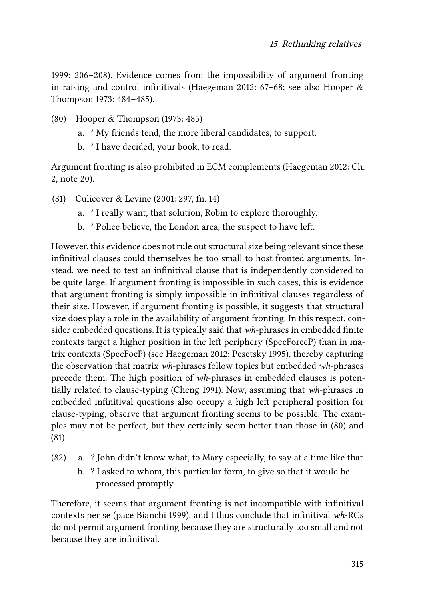[1999:](#page-27-7) 206–208). Evidence comes from the impossibility of argument fronting in raising and control infinitivals [\(Haegeman 2012](#page-28-0): 67–68; see also [Hooper &](#page-28-11) [Thompson 1973](#page-28-11): 484–485).

- <span id="page-18-0"></span>(80) [Hooper & Thompson \(1973:](#page-28-11) 485)
	- a. \* My friends tend, the more liberal candidates, to support.
	- b. \* I have decided, your book, to read.

Argument fronting is also prohibited in ECM complements [\(Haegeman 2012:](#page-28-0) Ch. 2, note 20).

- <span id="page-18-1"></span>(81) [Culicover & Levine \(2001](#page-28-12): 297, fn. 14)
	- a. \* I really want, that solution, Robin to explore thoroughly.
	- b. \* Police believe, the London area, the suspect to have left.

However, this evidence does not rule out structural size being relevant since these infinitival clauses could themselves be too small to host fronted arguments. Instead, we need to test an infinitival clause that is independently considered to be quite large. If argument fronting is impossible in such cases, this is evidence that argument fronting is simply impossible in infinitival clauses regardless of their size. However, if argument fronting is possible, it suggests that structural size does play a role in the availability of argument fronting. In this respect, consider embedded questions. It is typically said that *wh*-phrases in embedded finite contexts target a higher position in the left periphery (SpecForceP) than in matrix contexts (SpecFocP) (see [Haegeman 2012](#page-28-0); [Pesetsky 1995](#page-29-11)), thereby capturing the observation that matrix *wh*-phrases follow topics but embedded *wh*-phrases precede them. The high position of *wh*-phrases in embedded clauses is potentially related to clause-typing [\(Cheng 1991\)](#page-27-8). Now, assuming that *wh*-phrases in embedded infinitival questions also occupy a high left peripheral position for clause-typing, observe that argument fronting seems to be possible. The examples may not be perfect, but they certainly seem better than those in([80](#page-18-0)) and [\(81](#page-18-1)).

- (82) a. ? John didn't know what, to Mary especially, to say at a time like that.
	- b. ? I asked to whom, this particular form, to give so that it would be processed promptly.

Therefore, it seems that argument fronting is not incompatible with infinitival contexts per se (pace [Bianchi 1999\)](#page-27-7), and I thus conclude that infinitival *wh*-RCs do not permit argument fronting because they are structurally too small and not because they are infinitival.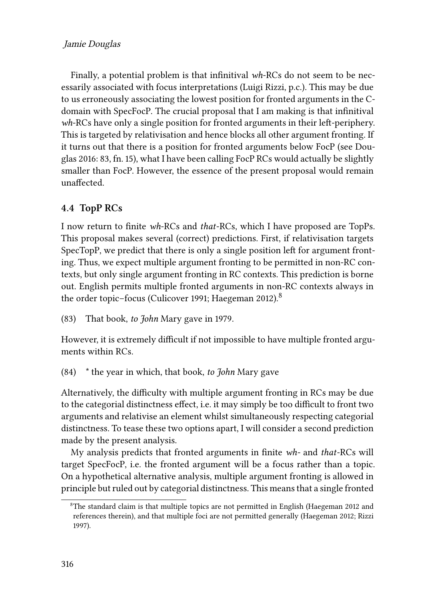Finally, a potential problem is that infinitival *wh*-RCs do not seem to be necessarily associated with focus interpretations (Luigi Rizzi, p.c.). This may be due to us erroneously associating the lowest position for fronted arguments in the Cdomain with SpecFocP. The crucial proposal that I am making is that infinitival *wh*-RCs have only a single position for fronted arguments in their left-periphery. This is targeted by relativisation and hence blocks all other argument fronting. If it turns out that there is a position for fronted arguments below FocP (see [Dou](#page-28-1)[glas 2016:](#page-28-1) 83, fn. 15), what I have been calling FocP RCs would actually be slightly smaller than FocP. However, the essence of the present proposal would remain unaffected.

## <span id="page-19-0"></span>**4.4 TopP RCs**

I now return to finite *wh*-RCs and *that*-RCs, which I have proposed are TopPs. This proposal makes several (correct) predictions. First, if relativisation targets SpecTopP, we predict that there is only a single position left for argument fronting. Thus, we expect multiple argument fronting to be permitted in non-RC contexts, but only single argument fronting in RC contexts. This prediction is borne out. English permits multiple fronted arguments in non-RC contexts always in theorder topic-focus ([Culicover 1991;](#page-28-13) [Haegeman 2012](#page-28-0)).<sup>8</sup>

(83) That book, *to John* Mary gave in 1979.

However, it is extremely difficult if not impossible to have multiple fronted arguments within RCs.

<span id="page-19-1"></span>(84) \* the year in which, that book, *to John* Mary gave

Alternatively, the difficulty with multiple argument fronting in RCs may be due to the categorial distinctness effect, i.e. it may simply be too difficult to front two arguments and relativise an element whilst simultaneously respecting categorial distinctness. To tease these two options apart, I will consider a second prediction made by the present analysis.

My analysis predicts that fronted arguments in finite *wh-* and *that*-RCs will target SpecFocP, i.e. the fronted argument will be a focus rather than a topic. On a hypothetical alternative analysis, multiple argument fronting is allowed in principle but ruled out by categorial distinctness. This means that a single fronted

<sup>&</sup>lt;sup>8</sup>Thestandard claim is that multiple topics are not permitted in English ([Haegeman 2012](#page-28-0) and references therein), and that multiple foci are not permitted generally([Haegeman 2012;](#page-28-0) [Rizzi](#page-29-2) [1997\)](#page-29-2).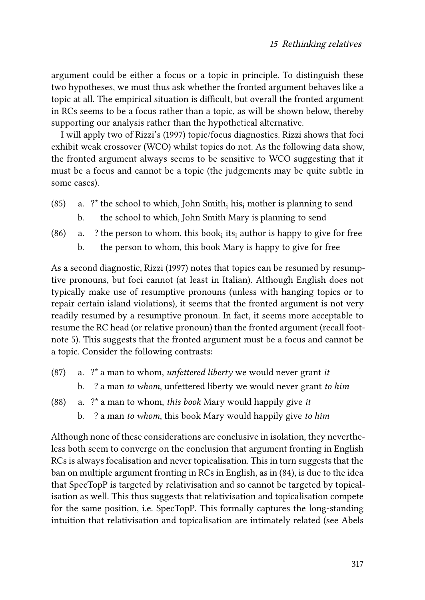argument could be either a focus or a topic in principle. To distinguish these two hypotheses, we must thus ask whether the fronted argument behaves like a topic at all. The empirical situation is difficult, but overall the fronted argument in RCs seems to be a focus rather than a topic, as will be shown below, thereby supporting our analysis rather than the hypothetical alternative.

I will apply two of [Rizzi](#page-29-2)'s (1997) topic/focus diagnostics. Rizzi shows that foci exhibit weak crossover (WCO) whilst topics do not. As the following data show, the fronted argument always seems to be sensitive to WCO suggesting that it must be a focus and cannot be a topic (the judgements may be quite subtle in some cases).

- (85) a. ?\* the school to which, John Smith; his mother is planning to send
	- b. the school to which, John Smith Mary is planning to send
- (86) a.  $\cdot$  ? the person to whom, this book<sub>i</sub> its<sub>i</sub> author is happy to give for free
	- b. the person to whom, this book Mary is happy to give for free

As a second diagnostic, [Rizzi \(1997\)](#page-29-2) notes that topics can be resumed by resumptive pronouns, but foci cannot (at least in Italian). Although English does not typically make use of resumptive pronouns (unless with hanging topics or to repair certain island violations), it seems that the fronted argument is not very readily resumed by a resumptive pronoun. In fact, it seems more acceptable to resume the RC head (or relative pronoun) than the fronted argument (recall footnote [5\)](#page-9-3). This suggests that the fronted argument must be a focus and cannot be a topic. Consider the following contrasts:

- (87) a. ?\* a man to whom, *unfettered liberty* we would never grant *it* b. ? a man *to whom*, unfettered liberty we would never grant *to him*
- (88) a. ?\* a man to whom, *this book* Mary would happily give *it* b. ? a man *to whom*, this book Mary would happily give *to him*

Although none of these considerations are conclusive in isolation, they nevertheless both seem to converge on the conclusion that argument fronting in English RCs is always focalisation and never topicalisation. This in turn suggests that the ban on multiple argument fronting in RCs in English, as in [\(84\)](#page-19-1), is due to the idea that SpecTopP is targeted by relativisation and so cannot be targeted by topicalisation as well. This thus suggests that relativisation and topicalisation compete for the same position, i.e. SpecTopP. This formally captures the long-standing intuition that relativisation and topicalisation are intimately related (see [Abels](#page-27-9)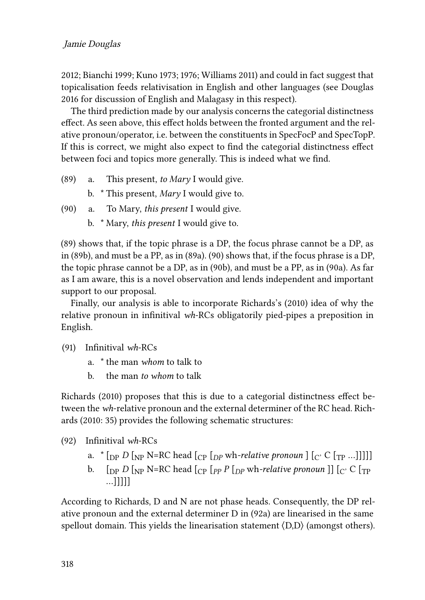[2012](#page-27-9); [Bianchi 1999;](#page-27-7) [Kuno 1973;](#page-29-12) [1976;](#page-29-13) [Williams 2011](#page-29-14)) and could in fact suggest that topicalisation feeds relativisation in English and other languages (see [Douglas](#page-28-1) [2016](#page-28-1) for discussion of English and Malagasy in this respect).

The third prediction made by our analysis concerns the categorial distinctness effect. As seen above, this effect holds between the fronted argument and the relative pronoun/operator, i.e. between the constituents in SpecFocP and SpecTopP. If this is correct, we might also expect to find the categorial distinctness effect between foci and topics more generally. This is indeed what we find.

- <span id="page-21-0"></span>(89) a. This present, *to Mary* I would give.
	- b. \* This present, *Mary* I would give to.
- <span id="page-21-1"></span>(90) a. To Mary, *this present* I would give.
	- b. \* Mary, *this present* I would give to.

[\(89\)](#page-21-0) shows that, if the topic phrase is a DP, the focus phrase cannot be a DP, as in([89](#page-21-0)b), and must be a PP, as in [\(89a](#page-21-0)).([90](#page-21-1)) shows that, if the focus phrase is a DP, the topic phrase cannot be a DP, as in([90](#page-21-1)b), and must be a PP, as in [\(90](#page-21-1)a). As far as I am aware, this is a novel observation and lends independent and important support to our proposal.

Finally, our analysis is able to incorporate [Richards](#page-29-0)'s (2010) idea of why the relative pronoun in infinitival *wh*-RCs obligatorily pied-pipes a preposition in English.

- <span id="page-21-3"></span>(91) Infinitival *wh*-RCs
	- a. \* the man *whom* to talk to
	- b. the man *to whom* to talk

[Richards \(2010\)](#page-29-0) proposes that this is due to a categorial distinctness effect between the *wh*-relative pronoun and the external determiner of the RC head. [Rich](#page-29-0)[ards \(2010](#page-29-0): 35) provides the following schematic structures:

- <span id="page-21-2"></span>(92) Infinitival *wh*-RCs
	- a.  $*(\nabla_{\text{DP}} D [\nabla_{\text{NP}} \text{N} = \text{RC head} [\nabla_{\text{DP}} \text{Wh}-\text{relative pronoun}]\n\cdot [\nabla_{\text{CP}} C [\nabla_{\text{PP}} \dots]]\n]$
	- b.  $\left[ \int_{\text{DP}} D \left[ \int_{\text{NP}} \text{N=R} C \right] \text{head} \left[ \int_{\text{CP}} P \left[ \int_{\text{DP}} \text{wh-relative pronoun} \right] \right] \left[ \int_{\text{C}} C \left[ \int_{\text{TP}} \text{P} \left[ \int_{\text{PP}} P \left[ \int_{\text{PP}} \text{wh-relative pronoun} \right] \right] \right] \right]$ …]]]]]

According to Richards, D and N are not phase heads. Consequently, the DP relative pronoun and the external determiner D in([92](#page-21-2)a) are linearised in the same spellout domain. This yields the linearisation statement  $\langle D,D \rangle$  (amongst others).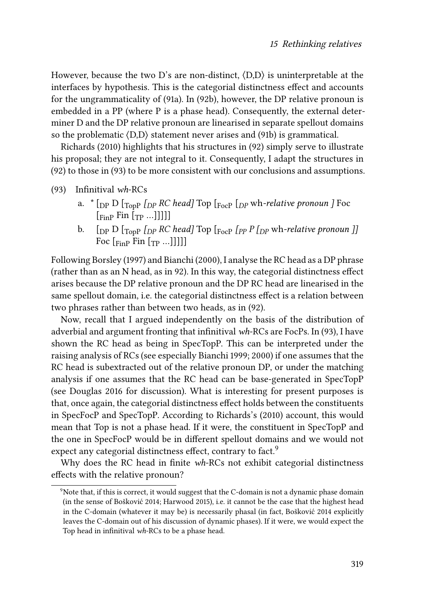However, because the two D's are non-distinct, ⟨D,D⟩ is uninterpretable at the interfaces by hypothesis. This is the categorial distinctness effect and accounts for the ungrammaticality of([91a](#page-21-3)). In([92b](#page-21-2)), however, the DP relative pronoun is embedded in a PP (where P is a phase head). Consequently, the external determiner D and the DP relative pronoun are linearised in separate spellout domains so the problematic ⟨D,D⟩ statement never arises and([91](#page-21-3)b) is grammatical.

[Richards \(2010\)](#page-29-0) highlights that his structures in([92](#page-21-2)) simply serve to illustrate his proposal; they are not integral to it. Consequently, I adapt the structures in [\(92](#page-21-2)) to those in [\(93](#page-22-0)) to be more consistent with our conclusions and assumptions.

<span id="page-22-0"></span>(93) Infinitival *wh*-RCs

- a. \* [DP D [TopP *[DP RC head]* Top [FocP [*DP* wh*-relative pronoun ]* Foc  $\lceil \frac{F_{\text{inp}}}{F_{\text{inp}}}\rceil$  Fin  $\lceil \frac{F_{\text{inp}}}{F_{\text{inp}}}\rceil$  ...
- b.  $[pP]$   $[pP]$   $[pR]$ *PC*  $head$ *]*  $T$ op  $[pP]$   $[pP]$   $pP$   $N$ *h-relative pronoun ]* Foc  $\left[\begin{matrix}F_{\text{FIP}}\end{matrix}\right]$  Fin  $\left[\begin{matrix}T_{\text{P}}\end{matrix}\right]$ ...]]]]]

Following [Borsley \(1997\)](#page-27-10) and [Bianchi \(2000\)](#page-27-11), I analyse the RC head as a DP phrase (rather than as an N head, as in [92](#page-21-2)). In this way, the categorial distinctness effect arises because the DP relative pronoun and the DP RC head are linearised in the same spellout domain, i.e. the categorial distinctness effect is a relation between two phrases rather than between two heads, as in [\(92](#page-21-2)).

Now, recall that I argued independently on the basis of the distribution of adverbial and argument fronting that infinitival *wh*-RCs are FocPs. In([93](#page-22-0)), I have shown the RC head as being in SpecTopP. This can be interpreted under the raising analysis of RCs (see especially [Bianchi 1999;](#page-27-7) [2000\)](#page-27-11) if one assumes that the RC head is subextracted out of the relative pronoun DP, or under the matching analysis if one assumes that the RC head can be base-generated in SpecTopP (see [Douglas 2016](#page-28-1) for discussion). What is interesting for present purposes is that, once again, the categorial distinctness effect holds between the constituents in SpecFocP and SpecTopP. According to [Richards](#page-29-0)'s (2010) account, this would mean that Top is not a phase head. If it were, the constituent in SpecTopP and the one in SpecFocP would be in different spellout domains and we would not expect any categorial distinctness effect, contrary to fact.<sup>9</sup>

Why does the RC head in finite *wh*-RCs not exhibit categorial distinctness effects with the relative pronoun?

 $9$ Note that, if this is correct, it would suggest that the C-domain is not a dynamic phase domain (in the sense of [Bošković 2014;](#page-27-12) [Harwood 2015](#page-28-14)), i.e. it cannot be the case that the highest head in the C-domain (whatever it may be) is necessarily phasal (in fact, [Bošković 2014](#page-27-12) explicitly leaves the C-domain out of his discussion of dynamic phases). If it were, we would expect the Top head in infinitival *wh*-RCs to be a phase head.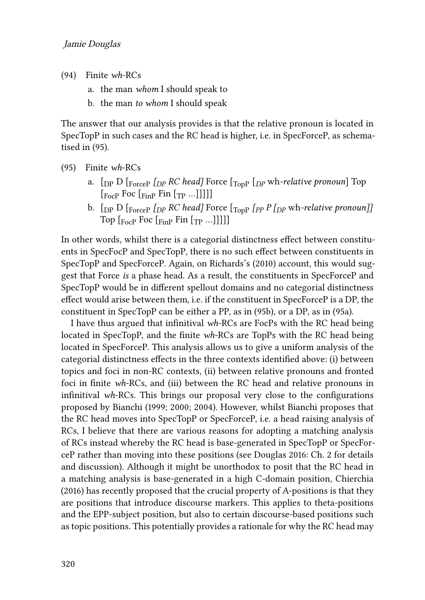- (94) Finite *wh*-RCs
	- a. the man *whom* I should speak to
	- b. the man *to whom* I should speak

The answer that our analysis provides is that the relative pronoun is located in SpecTopP in such cases and the RC head is higher, i.e. in SpecForceP, as schematised in [\(95](#page-23-0)).

- <span id="page-23-0"></span>(95) Finite *wh*-RCs
	- a.  $\left[$ <sub>DP</sub> D  $\left[$ <sub>ForceP</sub>  $\left[$ <sub>*DP</sub> RC* head] Force  $\left[$ <sub>Top</sub>  $\left[$ <sub>*DP*</sub> wh-relative pronoun] Top</sub>  $\lceil_{\text{FocP}}$  Foc  $\lceil_{\text{FinP}}$  Fin  $\lceil_{\text{TP}}$  ...
	- b. [DP D [ForceP *[DP RC head]* Force [TopP *[PP P [DP* wh*-relative pronoun]]* Top  $\lceil_{\text{FocP}}$  Foc  $\lceil_{\text{FinP}}$  Fin  $\lceil_{\text{TP}}$  ...

In other words, whilst there is a categorial distinctness effect between constituents in SpecFocP and SpecTopP, there is no such effect between constituents in SpecTopP and SpecForceP. Again, on [Richards](#page-29-0)'s (2010) account, this would suggest that Force *is* a phase head. As a result, the constituents in SpecForceP and SpecTopP would be in different spellout domains and no categorial distinctness effect would arise between them, i.e. if the constituent in SpecForceP is a DP, the constituent in SpecTopP can be either a PP, as in([95b](#page-23-0)), or a DP, as in([95a](#page-23-0)).

I have thus argued that infinitival *wh*-RCs are FocPs with the RC head being located in SpecTopP, and the finite *wh*-RCs are TopPs with the RC head being located in SpecForceP. This analysis allows us to give a uniform analysis of the categorial distinctness effects in the three contexts identified above: (i) between topics and foci in non-RC contexts, (ii) between relative pronouns and fronted foci in finite *wh*-RCs, and (iii) between the RC head and relative pronouns in infinitival *wh*-RCs. This brings our proposal very close to the configurations proposed by [Bianchi \(1999](#page-27-7); [2000](#page-27-11); [2004](#page-27-13)). However, whilst Bianchi proposes that the RC head moves into SpecTopP or SpecForceP, i.e. a head raising analysis of RCs, I believe that there are various reasons for adopting a matching analysis of RCs instead whereby the RC head is base-generated in SpecTopP or SpecForceP rather than moving into these positions (see [Douglas 2016](#page-28-1): Ch. 2 for details and discussion). Although it might be unorthodox to posit that the RC head in a matching analysis is base-generated in a high C-domain position, [Chierchia](#page-27-14) [\(2016\)](#page-27-14) has recently proposed that the crucial property of A-positions is that they are positions that introduce discourse markers. This applies to theta-positions and the EPP-subject position, but also to certain discourse-based positions such as topic positions. This potentially provides a rationale for why the RC head may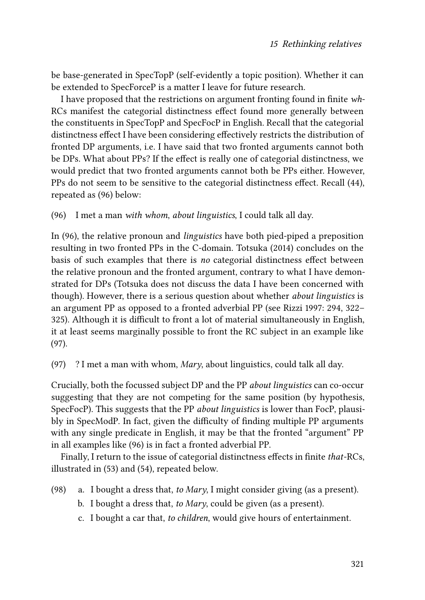be base-generated in SpecTopP (self-evidently a topic position). Whether it can be extended to SpecForceP is a matter I leave for future research.

I have proposed that the restrictions on argument fronting found in finite *wh*-RCs manifest the categorial distinctness effect found more generally between the constituents in SpecTopP and SpecFocP in English. Recall that the categorial distinctness effect I have been considering effectively restricts the distribution of fronted DP arguments, i.e. I have said that two fronted arguments cannot both be DPs. What about PPs? If the effect is really one of categorial distinctness, we would predict that two fronted arguments cannot both be PPs either. However, PPs do not seem to be sensitive to the categorial distinctness effect. Recall [\(44\)](#page-9-3), repeated as [\(96\)](#page-24-0) below:

<span id="page-24-0"></span>(96) I met a man *with whom*, *about linguistics*, I could talk all day.

In([96](#page-24-0)), the relative pronoun and *linguistics* have both pied-piped a preposition resulting in two fronted PPs in the C-domain. [Totsuka \(2014\)](#page-29-6) concludes on the basis of such examples that there is *no* categorial distinctness effect between the relative pronoun and the fronted argument, contrary to what I have demonstrated for DPs (Totsuka does not discuss the data I have been concerned with though). However, there is a serious question about whether *about linguistics* is an argument PP as opposed to a fronted adverbial PP (see [Rizzi 1997](#page-29-2): 294, 322– 325). Although it is difficult to front a lot of material simultaneously in English, it at least seems marginally possible to front the RC subject in an example like [\(97\)](#page-24-1).

<span id="page-24-1"></span>(97) ? I met a man with whom, *Mary*, about linguistics, could talk all day.

Crucially, both the focussed subject DP and the PP *about linguistics* can co-occur suggesting that they are not competing for the same position (by hypothesis, SpecFocP). This suggests that the PP *about linguistics* is lower than FocP, plausibly in SpecModP. In fact, given the difficulty of finding multiple PP arguments with any single predicate in English, it may be that the fronted "argument" PP in all examples like([96\)](#page-24-0) is in fact a fronted adverbial PP.

Finally, I return to the issue of categorial distinctness effects in finite *that*-RCs, illustrated in([53\)](#page-11-1) and [\(54](#page-11-2)), repeated below.

- (98) a. I bought a dress that, *to Mary*, I might consider giving (as a present).
	- b. I bought a dress that, *to Mary*, could be given (as a present).
	- c. I bought a car that, *to children*, would give hours of entertainment.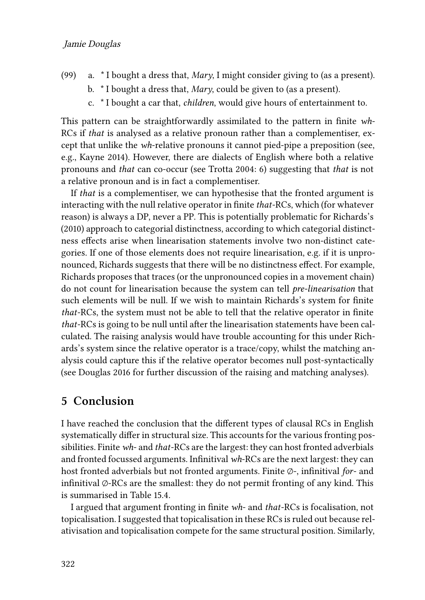- (99) a. \* I bought a dress that, *Mary*, I might consider giving to (as a present).
	- b. \* I bought a dress that, *Mary*, could be given to (as a present).
	- c. \* I bought a car that, *children*, would give hours of entertainment to.

This pattern can be straightforwardly assimilated to the pattern in finite *wh*-RCs if *that* is analysed as a relative pronoun rather than a complementiser, except that unlike the *wh*-relative pronouns it cannot pied-pipe a preposition (see, e.g., [Kayne 2014\)](#page-29-15). However, there are dialects of English where both a relative pronouns and *that* can co-occur (see [Trotta 2004](#page-29-16): 6) suggesting that *that* is not a relative pronoun and is in fact a complementiser.

If *that* is a complementiser, we can hypothesise that the fronted argument is interacting with the null relative operator in finite *that*-RCs, which (for whatever reason) is always a DP, never a PP. This is potentially problematic for [Richards'](#page-29-0)s (2010) approach to categorial distinctness, according to which categorial distinctness effects arise when linearisation statements involve two non-distinct categories. If one of those elements does not require linearisation, e.g. if it is unpronounced, Richards suggests that there will be no distinctness effect. For example, Richards proposes that traces (or the unpronounced copies in a movement chain) do not count for linearisation because the system can tell *pre-linearisation* that such elements will be null. If we wish to maintain Richards's system for finite *that*-RCs, the system must not be able to tell that the relative operator in finite *that*-RCs is going to be null until after the linearisation statements have been calculated. The raising analysis would have trouble accounting for this under Richards's system since the relative operator is a trace/copy, whilst the matching analysis could capture this if the relative operator becomes null post-syntactically (see [Douglas 2016](#page-28-1) for further discussion of the raising and matching analyses).

# <span id="page-25-0"></span>**5 Conclusion**

I have reached the conclusion that the different types of clausal RCs in English systematically differ in structural size. This accounts for the various fronting possibilities. Finite *wh*- and *that*-RCs are the largest: they can host fronted adverbials and fronted focussed arguments. Infinitival *wh*-RCs are the next largest: they can host fronted adverbials but not fronted arguments. Finite ∅-, infinitival *for*- and infinitival  $\varphi$ -RCs are the smallest: they do not permit fronting of any kind. This is summarised in Table [15.4](#page-26-0).

I argued that argument fronting in finite *wh*- and *that*-RCs is focalisation, not topicalisation. I suggested that topicalisation in these RCs is ruled out because relativisation and topicalisation compete for the same structural position. Similarly,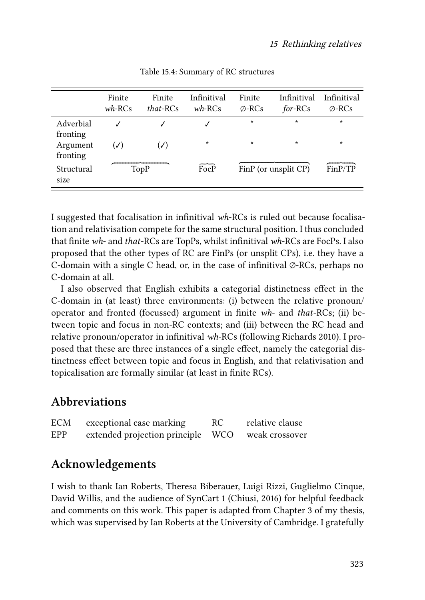<span id="page-26-0"></span>

|                       | Finite<br>$wh$ -RCs | Finite<br>$that$ -RCs | Infinitival<br>$wh$ -RCs | Finite<br>$\varphi$ -RCs | Infinitival<br>for-RCs | Infinitival<br>$\oslash$ -RCs |
|-----------------------|---------------------|-----------------------|--------------------------|--------------------------|------------------------|-------------------------------|
| Adverbial<br>fronting |                     |                       |                          | $\star$                  | $\star$                | $\star$                       |
| Argument<br>fronting  | $(\checkmark)$      | $(\checkmark)$        | $\star$                  | $\star$                  | $\star$                | $\star$                       |
| Structural<br>size    |                     | TopP                  | FocP                     |                          | FinP (or unsplit CP)   | FinP/TP                       |

Table 15.4: Summary of RC structures

I suggested that focalisation in infinitival *wh*-RCs is ruled out because focalisation and relativisation compete for the same structural position. I thus concluded that finite *wh*- and *that*-RCs are TopPs, whilst infinitival *wh*-RCs are FocPs. I also proposed that the other types of RC are FinPs (or unsplit CPs), i.e. they have a C-domain with a single C head, or, in the case of infinitival ∅-RCs, perhaps no C-domain at all.

I also observed that English exhibits a categorial distinctness effect in the C-domain in (at least) three environments: (i) between the relative pronoun/ operator and fronted (focussed) argument in finite *wh*- and *that*-RCs; (ii) between topic and focus in non-RC contexts; and (iii) between the RC head and relative pronoun/operator in infinitival *wh*-RCs (following [Richards 2010](#page-29-0)). I proposed that these are three instances of a single effect, namely the categorial distinctness effect between topic and focus in English, and that relativisation and topicalisation are formally similar (at least in finite RCs).

# **Abbreviations**

| ECM | exceptional case marking          | RC. | relative clause |
|-----|-----------------------------------|-----|-----------------|
| EPP | extended projection principle WCO |     | weak crossover  |

# **Acknowledgements**

I wish to thank Ian Roberts, Theresa Biberauer, Luigi Rizzi, Guglielmo Cinque, David Willis, and the audience of SynCart 1 (Chiusi, 2016) for helpful feedback and comments on this work. This paper is adapted from Chapter 3 of my thesis, which was supervised by Ian Roberts at the University of Cambridge. I gratefully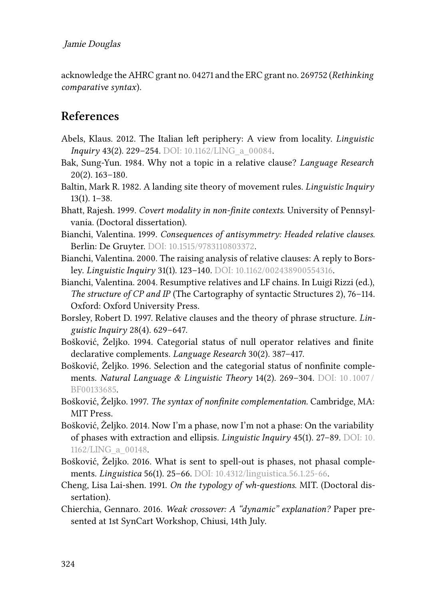acknowledge the AHRC grant no. 04271 and the ERC grant no. 269752 (*Rethinking comparative syntax*).

# **References**

- <span id="page-27-9"></span>Abels, Klaus. 2012. The Italian left periphery: A view from locality. *Linguistic Inquiry* 43(2). 229–254. DOI: [10.1162/LING\\_a\\_00084.](https://doi.org/10.1162/LING_a_00084)
- <span id="page-27-5"></span>Bak, Sung-Yun. 1984. Why not a topic in a relative clause? *Language Research* 20(2). 163–180.
- <span id="page-27-6"></span>Baltin, Mark R. 1982. A landing site theory of movement rules. *Linguistic Inquiry* 13(1). 1–38.
- <span id="page-27-4"></span>Bhatt, Rajesh. 1999. *Covert modality in non-finite contexts*. University of Pennsylvania. (Doctoral dissertation).
- <span id="page-27-7"></span>Bianchi, Valentina. 1999. *Consequences of antisymmetry: Headed relative clauses*. Berlin: De Gruyter. DOI: [10.1515/9783110803372.](https://doi.org/10.1515/9783110803372)
- <span id="page-27-11"></span>Bianchi, Valentina. 2000. The raising analysis of relative clauses: A reply to Borsley. *Linguistic Inquiry* 31(1). 123–140. DOI: [10.1162/002438900554316](https://doi.org/10.1162/002438900554316).
- <span id="page-27-13"></span>Bianchi, Valentina. 2004. Resumptive relatives and LF chains. In Luigi Rizzi (ed.), *The structure of CP and IP* (The Cartography of syntactic Structures 2), 76–114. Oxford: Oxford University Press.
- <span id="page-27-10"></span>Borsley, Robert D. 1997. Relative clauses and the theory of phrase structure. *Linguistic Inquiry* 28(4). 629–647.
- <span id="page-27-0"></span>Bošković, Željko. 1994. Categorial status of null operator relatives and finite declarative complements. *Language Research* 30(2). 387–417.
- <span id="page-27-1"></span>Bošković, Željko. 1996. Selection and the categorial status of nonfinite complements. *Natural Language & Linguistic Theory* 14(2). 269–304. DOI: [10 . 1007 /](https://doi.org/10.1007/BF00133685) [BF00133685](https://doi.org/10.1007/BF00133685).
- <span id="page-27-2"></span>Bošković, Željko. 1997. *The syntax of nonfinite complementation*. Cambridge, MA: MIT Press.
- <span id="page-27-12"></span>Bošković, Željko. 2014. Now I'm a phase, now I'm not a phase: On the variability of phases with extraction and ellipsis. *Linguistic Inquiry* 45(1). 27–89. DOI: [10.](https://doi.org/10.1162/LING_a_00148) [1162/LING\\_a\\_00148.](https://doi.org/10.1162/LING_a_00148)
- <span id="page-27-3"></span>Bošković, Željko. 2016. What is sent to spell-out is phases, not phasal complements. *Linguistica* 56(1). 25–66. DOI: [10.4312/linguistica.56.1.25-66](https://doi.org/10.4312/linguistica.56.1.25-66).
- <span id="page-27-8"></span>Cheng, Lisa Lai-shen. 1991. *On the typology of wh-questions*. MIT. (Doctoral dissertation).
- <span id="page-27-14"></span>Chierchia, Gennaro. 2016. *Weak crossover: A "dynamic" explanation?* Paper presented at 1st SynCart Workshop, Chiusi, 14th July.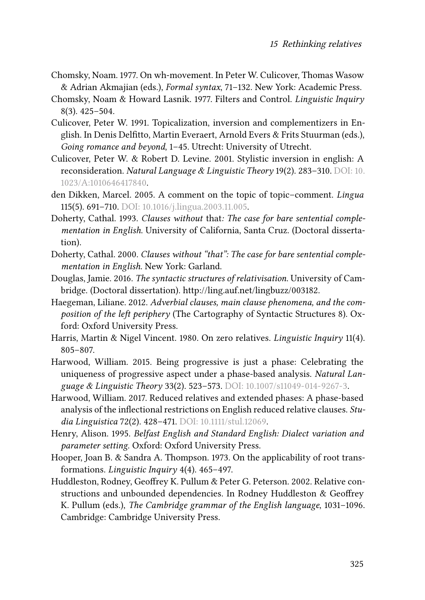- <span id="page-28-7"></span>Chomsky, Noam. 1977. On wh-movement. In Peter W. Culicover, Thomas Wasow & Adrian Akmajian (eds.), *Formal syntax*, 71–132. New York: Academic Press.
- <span id="page-28-3"></span>Chomsky, Noam & Howard Lasnik. 1977. Filters and Control. *Linguistic Inquiry* 8(3). 425–504.
- <span id="page-28-13"></span>Culicover, Peter W. 1991. Topicalization, inversion and complementizers in English. In Denis Delfitto, Martin Everaert, Arnold Evers & Frits Stuurman (eds.), *Going romance and beyond*, 1–45. Utrecht: University of Utrecht.
- <span id="page-28-12"></span>Culicover, Peter W. & Robert D. Levine. 2001. Stylistic inversion in english: A reconsideration. *Natural Language & Linguistic Theory* 19(2). 283–310. DOI: [10.](https://doi.org/10.1023/A:1010646417840) [1023/A:1010646417840](https://doi.org/10.1023/A:1010646417840).
- <span id="page-28-8"></span>den Dikken, Marcel. 2005. A comment on the topic of topic–comment. *Lingua* 115(5). 691–710. DOI: [10.1016/j.lingua.2003.11.005](https://doi.org/10.1016/j.lingua.2003.11.005).
- <span id="page-28-5"></span>Doherty, Cathal. 1993. *Clauses without* that*: The case for bare sentential complementation in English*. University of California, Santa Cruz. (Doctoral dissertation).
- <span id="page-28-6"></span>Doherty, Cathal. 2000. *Clauses without "that": The case for bare sentential complementation in English*. New York: Garland.
- <span id="page-28-1"></span>Douglas, Jamie. 2016. *The syntactic structures of relativisation*. University of Cambridge. (Doctoral dissertation). [http://ling.auf.net/lingbuzz/003182.](http://ling.auf.net/lingbuzz/003182)
- <span id="page-28-0"></span>Haegeman, Liliane. 2012. *Adverbial clauses, main clause phenomena, and the composition of the left periphery* (The Cartography of Syntactic Structures 8). Oxford: Oxford University Press.
- <span id="page-28-9"></span>Harris, Martin & Nigel Vincent. 1980. On zero relatives. *Linguistic Inquiry* 11(4). 805–807.
- <span id="page-28-14"></span>Harwood, William. 2015. Being progressive is just a phase: Celebrating the uniqueness of progressive aspect under a phase-based analysis. *Natural Language & Linguistic Theory* 33(2). 523–573. DOI: [10.1007/s11049-014-9267-3](https://doi.org/10.1007/s11049-014-9267-3).
- <span id="page-28-2"></span>Harwood, William. 2017. Reduced relatives and extended phases: A phase-based analysis of the inflectional restrictions on English reduced relative clauses. *Studia Linguistica* 72(2). 428–471. DOI: [10.1111/stul.12069](https://doi.org/10.1111/stul.12069).
- <span id="page-28-10"></span>Henry, Alison. 1995. *Belfast English and Standard English: Dialect variation and parameter setting*. Oxford: Oxford University Press.
- <span id="page-28-11"></span>Hooper, Joan B. & Sandra A. Thompson. 1973. On the applicability of root transformations. *Linguistic Inquiry* 4(4). 465–497.
- <span id="page-28-4"></span>Huddleston, Rodney, Geoffrey K. Pullum & Peter G. Peterson. 2002. Relative constructions and unbounded dependencies. In Rodney Huddleston & Geoffrey K. Pullum (eds.), *The Cambridge grammar of the English language*, 1031–1096. Cambridge: Cambridge University Press.